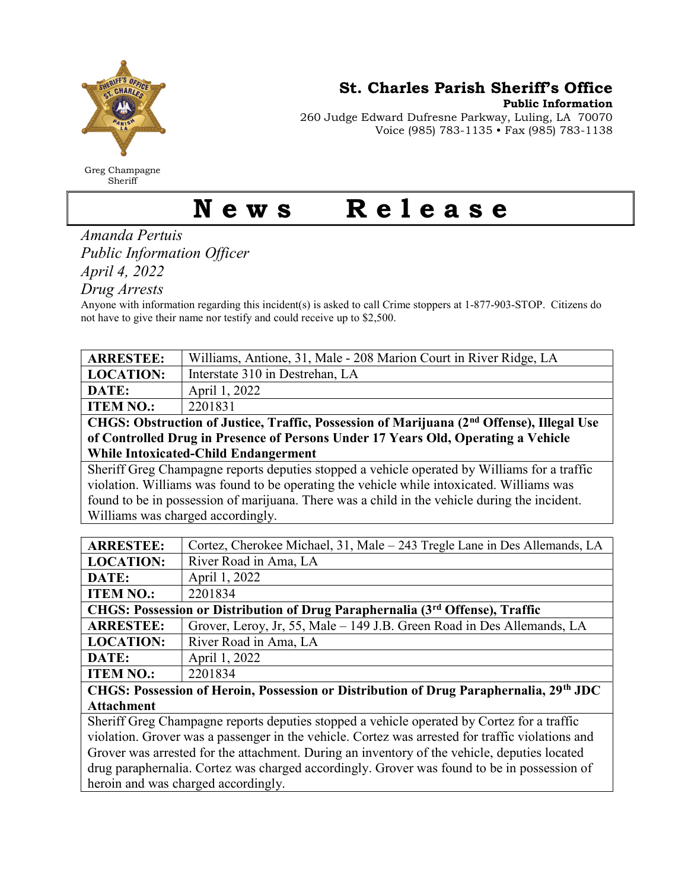

Greg Champagne Sheriff

St. Charles Parish Sheriff's Office

Public Information

260 Judge Edward Dufresne Parkway, Luling, LA 70070 Voice (985) 783-1135 • Fax (985) 783-1138

## News Release

Amanda Pertuis Public Information Officer April 4, 2022

Drug Arrests

Anyone with information regarding this incident(s) is asked to call Crime stoppers at 1-877-903-STOP. Citizens do not have to give their name nor testify and could receive up to \$2,500.

| <b>ARRESTEE:</b>                                                                                      | Williams, Antione, 31, Male - 208 Marion Court in River Ridge, LA         |  |
|-------------------------------------------------------------------------------------------------------|---------------------------------------------------------------------------|--|
| <b>LOCATION:</b>                                                                                      | Interstate 310 in Destrehan, LA                                           |  |
| DATE:                                                                                                 | April 1, 2022                                                             |  |
| <b>ITEM NO.:</b>                                                                                      | 2201831                                                                   |  |
| CHGS: Obstruction of Justice, Traffic, Possession of Marijuana (2 <sup>nd</sup> Offense), Illegal Use |                                                                           |  |
| of Controlled Drug in Presence of Persons Under 17 Years Old, Operating a Vehicle                     |                                                                           |  |
| <b>While Intoxicated-Child Endangerment</b>                                                           |                                                                           |  |
| Sheriff Greg Champagne reports deputies stopped a vehicle operated by Williams for a traffic          |                                                                           |  |
| violation. Williams was found to be operating the vehicle while intoxicated. Williams was             |                                                                           |  |
| found to be in possession of marijuana. There was a child in the vehicle during the incident.         |                                                                           |  |
| Williams was charged accordingly.                                                                     |                                                                           |  |
|                                                                                                       |                                                                           |  |
| <b>ARRESTEE:</b>                                                                                      | Cortez, Cherokee Michael, 31, Male - 243 Tregle Lane in Des Allemands, LA |  |
| <b>LOCATION:</b>                                                                                      | River Road in Ama, LA                                                     |  |
| DATE:                                                                                                 | April 1, 2022                                                             |  |
| <b>ITEM NO.:</b>                                                                                      | 2201834                                                                   |  |
| CHGS: Possession or Distribution of Drug Paraphernalia (3rd Offense), Traffic                         |                                                                           |  |
| <b>ARRESTEE:</b>                                                                                      | Grover, Leroy, Jr, 55, Male - 149 J.B. Green Road in Des Allemands, LA    |  |
| <b>LOCATION:</b>                                                                                      | River Road in Ama, LA                                                     |  |
| DATE:                                                                                                 | April 1, 2022                                                             |  |
| <b>ITEM NO.:</b>                                                                                      | 2201834                                                                   |  |
| CHGS: Possession of Heroin, Possession or Distribution of Drug Paraphernalia, 29th JDC                |                                                                           |  |
| <b>Attachment</b>                                                                                     |                                                                           |  |
| Sheriff Greg Champagne reports deputies stopped a vehicle operated by Cortez for a traffic            |                                                                           |  |
| violation. Grover was a passenger in the vehicle. Cortez was arrested for traffic violations and      |                                                                           |  |
| Grover was arrested for the attachment. During an inventory of the vehicle, deputies located          |                                                                           |  |
| drug paraphernalia. Cortez was charged accordingly. Grover was found to be in possession of           |                                                                           |  |
|                                                                                                       | heroin and was charged accordingly.                                       |  |